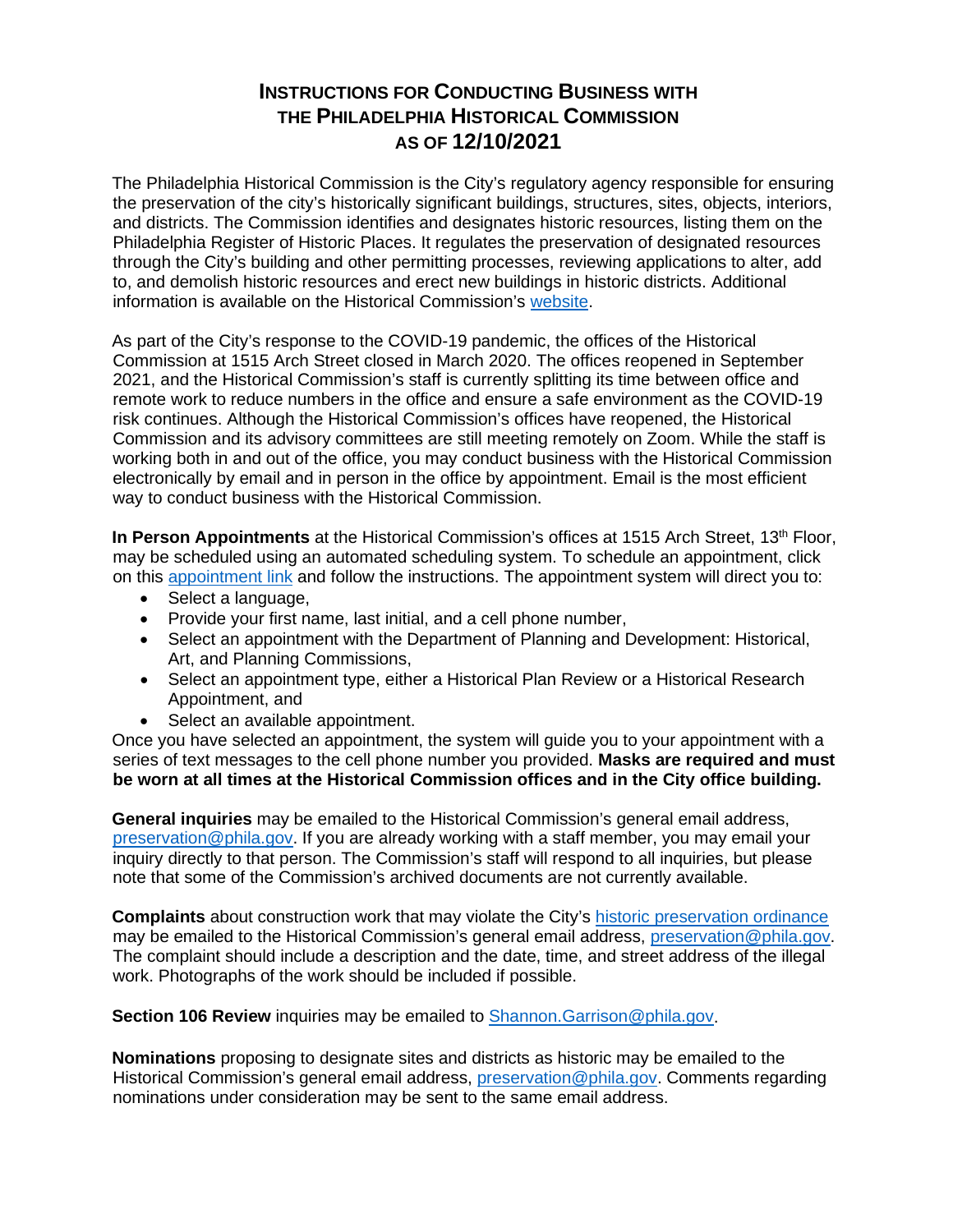## **INSTRUCTIONS FOR CONDUCTING BUSINESS WITH THE PHILADELPHIA HISTORICAL COMMISSION AS OF 12/10/2021**

The Philadelphia Historical Commission is the City's regulatory agency responsible for ensuring the preservation of the city's historically significant buildings, structures, sites, objects, interiors, and districts. The Commission identifies and designates historic resources, listing them on the Philadelphia Register of Historic Places. It regulates the preservation of designated resources through the City's building and other permitting processes, reviewing applications to alter, add to, and demolish historic resources and erect new buildings in historic districts. Additional information is available on the Historical Commission's [website.](about:blank)

As part of the City's response to the COVID-19 pandemic, the offices of the Historical Commission at 1515 Arch Street closed in March 2020. The offices reopened in September 2021, and the Historical Commission's staff is currently splitting its time between office and remote work to reduce numbers in the office and ensure a safe environment as the COVID-19 risk continues. Although the Historical Commission's offices have reopened, the Historical Commission and its advisory committees are still meeting remotely on Zoom. While the staff is working both in and out of the office, you may conduct business with the Historical Commission electronically by email and in person in the office by appointment. Email is the most efficient way to conduct business with the Historical Commission.

In Person Appointments at the Historical Commission's offices at 1515 Arch Street, 13<sup>th</sup> Floor, may be scheduled using an automated scheduling system. To schedule an appointment, click on this [appointment link](https://kiosk.us2.qless.com/kiosk/app/home/7100000030) and follow the instructions. The appointment system will direct you to:

- Select a language,
- Provide your first name, last initial, and a cell phone number,
- Select an appointment with the Department of Planning and Development: Historical, Art, and Planning Commissions,
- Select an appointment type, either a Historical Plan Review or a Historical Research Appointment, and
- Select an available appointment.

Once you have selected an appointment, the system will guide you to your appointment with a series of text messages to the cell phone number you provided. **Masks are required and must be worn at all times at the Historical Commission offices and in the City office building.**

**General inquiries** may be emailed to the Historical Commission's general email address, [preservation@phila.gov.](about:blank) If you are already working with a staff member, you may email your inquiry directly to that person. The Commission's staff will respond to all inquiries, but please note that some of the Commission's archived documents are not currently available.

**Complaints** about construction work that may violate the City's [historic preservation ordinance](about:blank) may be emailed to the Historical Commission's general email address, [preservation@phila.gov.](about:blank) The complaint should include a description and the date, time, and street address of the illegal work. Photographs of the work should be included if possible.

**Section 106 Review** inquiries may be emailed to [Shannon.Garrison@phila.gov.](about:blank)

**Nominations** proposing to designate sites and districts as historic may be emailed to the Historical Commission's general email address, *preservation@phila.gov*. Comments regarding nominations under consideration may be sent to the same email address.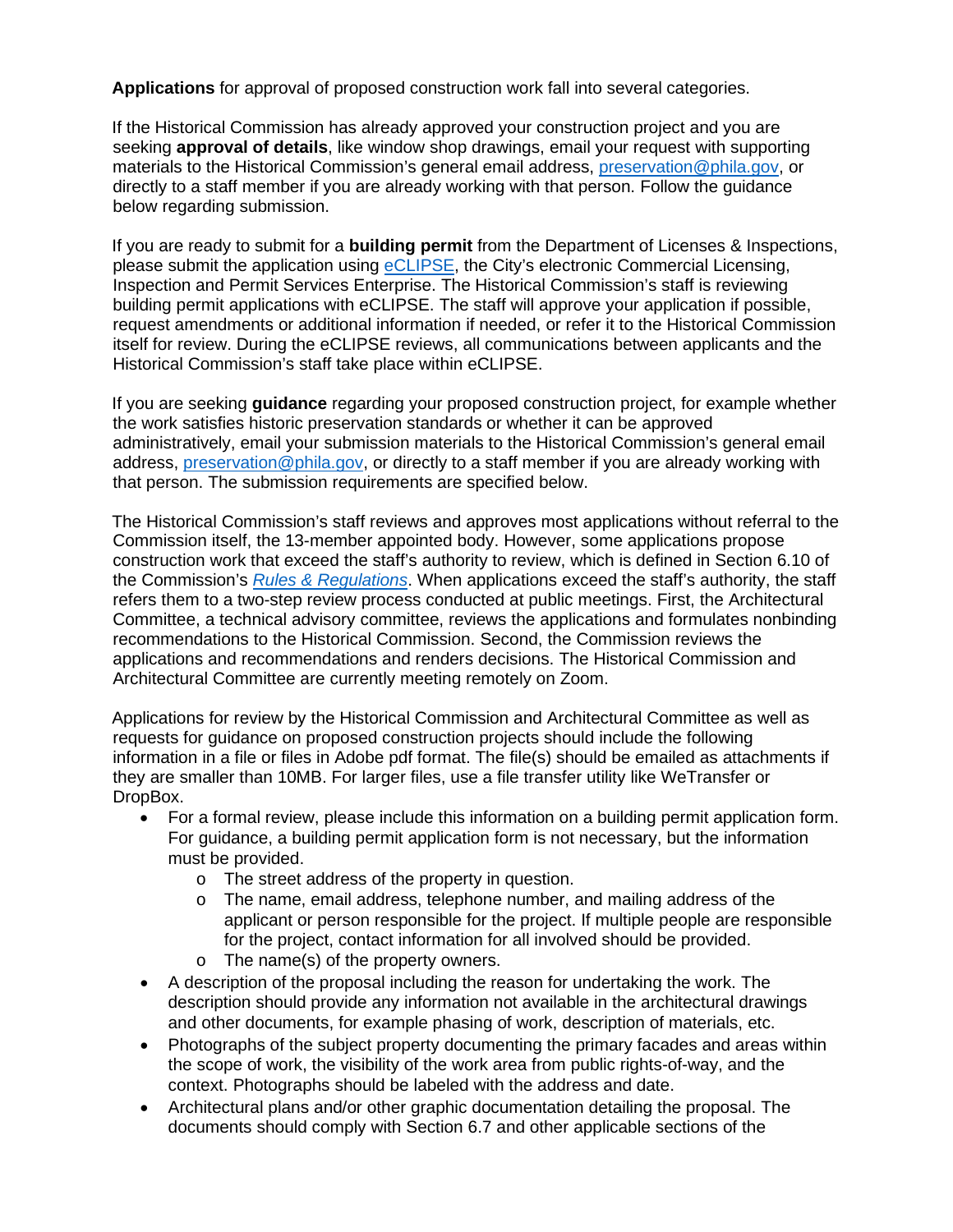**Applications** for approval of proposed construction work fall into several categories.

If the Historical Commission has already approved your construction project and you are seeking **approval of details**, like window shop drawings, email your request with supporting materials to the Historical Commission's general email address, [preservation@phila.gov,](about:blank) or directly to a staff member if you are already working with that person. Follow the guidance below regarding submission.

If you are ready to submit for a **building permit** from the Department of Licenses & Inspections, please submit the application using [eCLIPSE,](about:blank) the City's electronic Commercial Licensing, Inspection and Permit Services Enterprise. The Historical Commission's staff is reviewing building permit applications with eCLIPSE. The staff will approve your application if possible, request amendments or additional information if needed, or refer it to the Historical Commission itself for review. During the eCLIPSE reviews, all communications between applicants and the Historical Commission's staff take place within eCLIPSE.

If you are seeking **guidance** regarding your proposed construction project, for example whether the work satisfies historic preservation standards or whether it can be approved administratively, email your submission materials to the Historical Commission's general email address, [preservation@phila.gov,](about:blank) or directly to a staff member if you are already working with that person. The submission requirements are specified below.

The Historical Commission's staff reviews and approves most applications without referral to the Commission itself, the 13-member appointed body. However, some applications propose construction work that exceed the staff's authority to review, which is defined in Section 6.10 of the Commission's *[Rules & Regulations](about:blank)*. When applications exceed the staff's authority, the staff refers them to a two-step review process conducted at public meetings. First, the Architectural Committee, a technical advisory committee, reviews the applications and formulates nonbinding recommendations to the Historical Commission. Second, the Commission reviews the applications and recommendations and renders decisions. The Historical Commission and Architectural Committee are currently meeting remotely on Zoom.

Applications for review by the Historical Commission and Architectural Committee as well as requests for guidance on proposed construction projects should include the following information in a file or files in Adobe pdf format. The file(s) should be emailed as attachments if they are smaller than 10MB. For larger files, use a file transfer utility like WeTransfer or DropBox.

- For a formal review, please include this information on a building permit application form. For guidance, a building permit application form is not necessary, but the information must be provided.
	- o The street address of the property in question.
	- o The name, email address, telephone number, and mailing address of the applicant or person responsible for the project. If multiple people are responsible for the project, contact information for all involved should be provided.
	- o The name(s) of the property owners.
- A description of the proposal including the reason for undertaking the work. The description should provide any information not available in the architectural drawings and other documents, for example phasing of work, description of materials, etc.
- Photographs of the subject property documenting the primary facades and areas within the scope of work, the visibility of the work area from public rights-of-way, and the context. Photographs should be labeled with the address and date.
- Architectural plans and/or other graphic documentation detailing the proposal. The documents should comply with Section 6.7 and other applicable sections of the